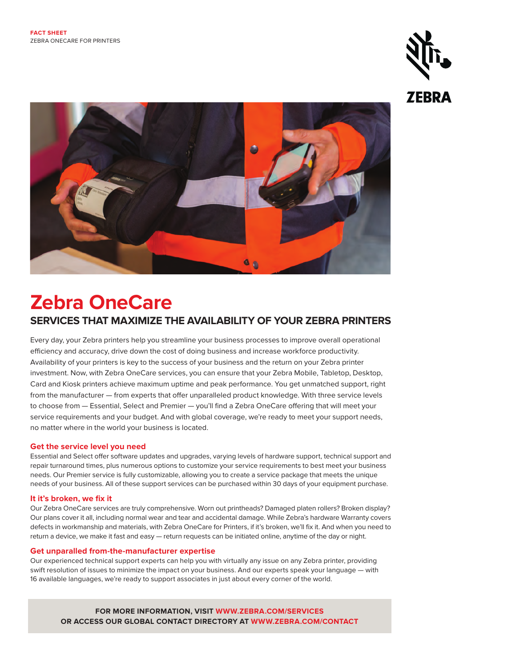



# **Zebra OneCare SERVICES THAT MAXIMIZE THE AVAILABILITY OF YOUR ZEBRA PRINTERS**

Every day, your Zebra printers help you streamline your business processes to improve overall operational efficiency and accuracy, drive down the cost of doing business and increase workforce productivity. Availability of your printers is key to the success of your business and the return on your Zebra printer investment. Now, with Zebra OneCare services, you can ensure that your Zebra Mobile, Tabletop, Desktop, Card and Kiosk printers achieve maximum uptime and peak performance. You get unmatched support, right from the manufacturer — from experts that offer unparalleled product knowledge. With three service levels to choose from — Essential, Select and Premier — you'll find a Zebra OneCare offering that will meet your service requirements and your budget. And with global coverage, we're ready to meet your support needs, no matter where in the world your business is located.

## **Get the service level you need**

Essential and Select offer software updates and upgrades, varying levels of hardware support, technical support and repair turnaround times, plus numerous options to customize your service requirements to best meet your business needs. Our Premier service is fully customizable, allowing you to create a service package that meets the unique needs of your business. All of these support services can be purchased within 30 days of your equipment purchase.

#### **It it's broken, we fix it**

Our Zebra OneCare services are truly comprehensive. Worn out printheads? Damaged platen rollers? Broken display? Our plans cover it all, including normal wear and tear and accidental damage. While Zebra's hardware Warranty covers defects in workmanship and materials, with Zebra OneCare for Printers, if it's broken, we'll fix it. And when you need to return a device, we make it fast and easy - return requests can be initiated online, anytime of the day or night.

#### **Get unparalled from-the-manufacturer expertise**

Our experienced technical support experts can help you with virtually any issue on any Zebra printer, providing swift resolution of issues to minimize the impact on your business. And our experts speak your language — with 16 available languages, we're ready to support associates in just about every corner of the world.

**FOR MORE INFORMATION, VISIT [WWW.ZEBRA.COM/SERVICES](http://www.zebra.com/services) OR ACCESS OUR GLOBAL CONTACT DIRECTORY AT [WWW.ZEBRA.COM/CONTACT](http://www.zebra.com/contact)**